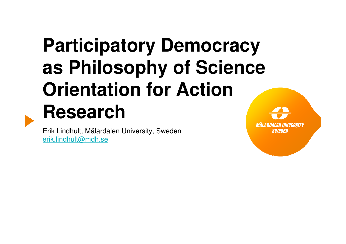# **Participatory Democracy as Philosophy of Science Orientation for Action Research**

 Erik Lindhult, Mälardalen University, Swedenerik.lindhult@mdh.se

MALARDALEN IINIVERSITY **SWEDER**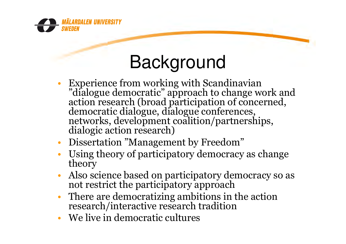

#### Background

- Experience from working with Scandinavian •"dialogue democratic" approach to change work and action research (broad participation of concerned, democratic dialogue, dialogue conferences, networks, development coalition/partnerships, dialogic action research)
- •Dissertation "Management by Freedom"
- Using theory of participatory democracy as change •theory
- Also science based on participatory democracy so as •not restrict the participatory approach
- There are democratizing ambitions in the action •research/interactive research tradition
- •We live in democratic cultures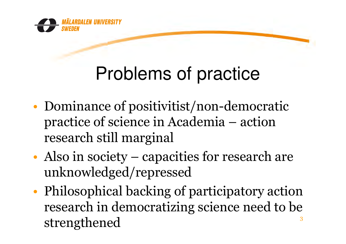

### Problems of practice

- •• Dominance of positivitist/non-democratic<br>practice of science in Academia – action practice of science in Academia – action research still marginal
- •• Also in society – capacities for research are<br>unknowledged/repressed unknowledged/repressed
- •• Philosophical backing of participatory action<br>Presearch in democratizing science need to be research in democratizing science need to be strengthened3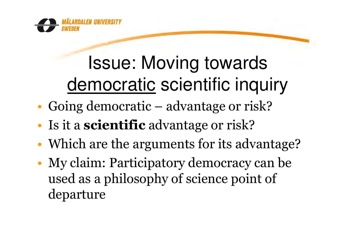

# Issue: Moving towardsdemocratic scientific inquiry

- •Going democratic – advantage or risk?
- •• Is it a **scientific** advantage or risk?
- •• Which are the arguments for its advantage?
- • My claim: Participatory democracy can be used as a philosophy of science point of departure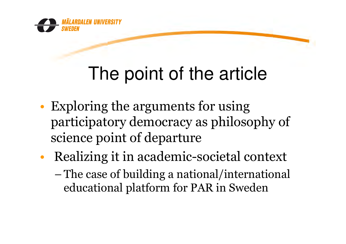

## The point of the article

- •• Exploring the arguments for using<br>narticinatory democracy as philoso participatory democracy as philosophy of science point of departure
- • Realizing it in academic-societal context  $-$  The case of building a national/international<br>educational platform for PAR in Sweden educational <sup>p</sup>latform for PAR in Sweden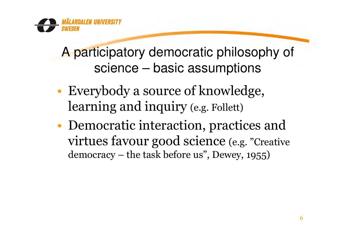A participatory democratic philosophy of science – basic assumptions

- •Everybody a source of knowledge,<br>learning and inquiry  $(e, \mathbf{F}^{\text{ell}})$ learning and inquiry (e.g. Follett)
- •• Democratic interaction, practices and<br>virtues favour good science (e.g. "Creative virtues favour good science (e.g. "Creative democracy – the task before us", Dewey, 1955)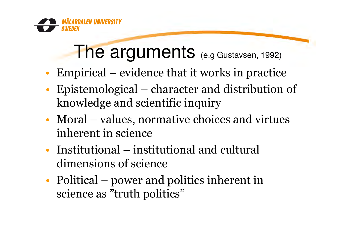

#### The arguments (e.g Gustavsen, 1992)

- •Empirical – evidence that it works in practice
- • Epistemological – character and distribution of knowledge and scientific inquiry
- •• Moral – values, normative choices and virtues<br>inherent in science inherent in science
- •Institutional – institutional and cultural<br>dimensions of science dimensions of science
- •• Political – power and politics inherent in<br>science as "truth politics" science as "truth politics"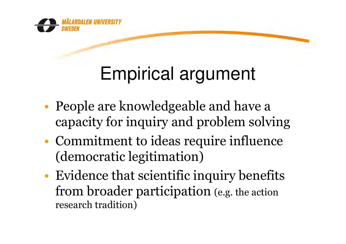

## Empirical argument

- •• People are knowledgeable and have a<br>Capacity for inquiry and problem solvi capacity for inquiry and problem solving
- •• Commitment to ideas require influence<br>(democratic legitimation) (democratic legitimation)
- •Evidence that scientific inquiry benefits<br>from broader participation (e.g. the action from broader participation (e.g. the action research tradition)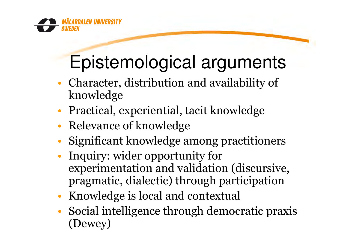

# Epistemological arguments

- •• Character, distribution and availability of<br>knowledge knowledge
- •• Practical, experiential, tacit knowledge
- •• Relevance of knowledge
- •Significant knowledge among practitioners
- • Inquiry: wider opportunity for experimentation and validation (discursive, pragmatic, dialectic) through participation
- •Knowledge is local and contextual
- • Social intelligence through democratic praxis (Dewey)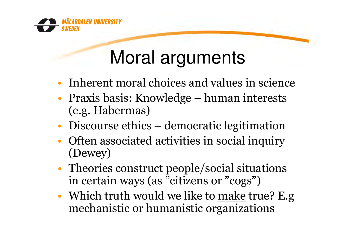

#### Moral arguments

- •• Inherent moral choices and values in science<br>• Praxis basis: Knowlodge – buman interasts
- •• Praxis basis: Knowledge – human interests<br>(e.g. Habermas) (e.g. Habermas)
- •• Discourse ethics – democratic legitimation<br>• Often associated activities in social inquiry
- •• Often associated activities in social inquiry<br>(Dewey) (Dewey)
- •• Theories construct people/social situations<br>in certain ways (as "citizens or "cogs") in certain ways (as "citizens or "cogs")
- •• Which truth would we like to <u>make</u> true? E.g<br>mechanistic or humanistic organizations mechanistic or humanistic organizations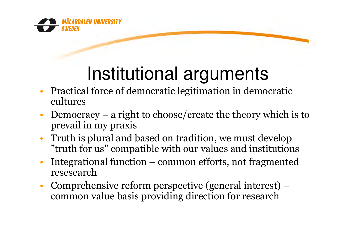

### Institutional arguments

- Practical force of democratic legitimation in democratic •cultures
- • Democracy – a right to choose/create the theory which is to prevail in my praxis
- $\bullet$  Truth is plural and based on tradition, we must develop "truth for us" compatible with our values and institutions
- • Integrational function – common efforts, not fragmented resesearch
- Comprehensive reform perspective (general interest) –<br>common value basis providing direction for research  $\bullet$ common value basis providing direction for research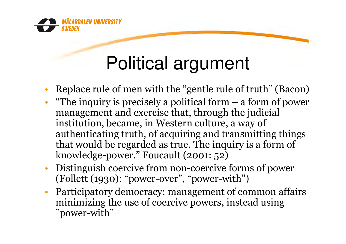

#### Political argument

- •Replace rule of men with the "gentle rule of truth" (Bacon)
- •. "The inquiry is precisely a political form  $-$  a form of power management and exercise that, through the indicial management and exercise that, through the judicial institution, became, in Western culture, a way of authenticating truth, of acquiring and transmitting things that would be regarded as true. The inquiry is a form of knowledge-power." Foucault (2001: 52)
- $\bullet$  Distinguish coercive from non-coercive forms of power (Follett (1930): "power-over", "power-with")
- • Participatory democracy: management of common affairs minimizing the use of coercive powers, instead using "power-with"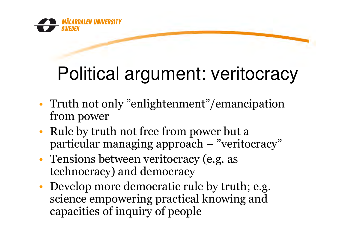

## Political argument: veritocracy

- •• Truth not only "enlightenment"/emancipation<br>from nower from power
- •• Rule by truth not free from power but a<br>particular managing approach  $-$  "veritor" particular managing approach – "veritocracy"
- •• Tensions between veritocracy (e.g. as<br>technocracy) and democracy technocracy) and democracy
- •• Develop more democratic rule by truth; e.g.<br>science empowering practical knowing and science empowering practical knowing and capacities of inquiry of people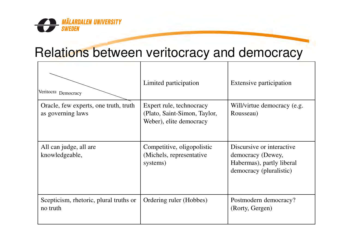

#### Relations between veritocracy and democracy

| Veritocra Democracy                                        | Limited participation                                                               | Extensive participation                                                                                |
|------------------------------------------------------------|-------------------------------------------------------------------------------------|--------------------------------------------------------------------------------------------------------|
| Oracle, few experts, one truth, truth<br>as governing laws | Expert rule, technocracy<br>(Plato, Saint-Simon, Taylor,<br>Weber), elite democracy | Will/virtue democracy (e.g.<br>Rousseau)                                                               |
| All can judge, all are<br>knowledgeable,                   | Competitive, oligopolistic<br>(Michels, representative)<br>systems)                 | Discursive or interactive<br>democracy (Dewey,<br>Habermas), partly liberal<br>democracy (pluralistic) |
| Scepticism, rhetoric, plural truths or<br>no truth         | Ordering ruler (Hobbes)                                                             | Postmodern democracy?<br>(Rorty, Gergen)                                                               |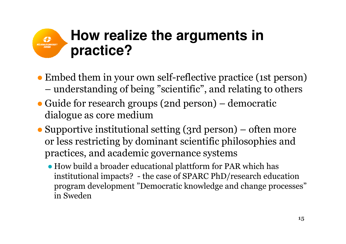#### **How realize the arguments in**  MÄLARDALEV UNIVERSITY<br>SWEDEN<br>SWEDEN **practice?**

- Embed them in your own self-reflective practice (1st person)<br>— understanding of being "scientific" and relating to others understanding of being "scientific", and relating to others
- Guide for research groups (2nd person) democratic<br>dialogue as core medium dialogue as core medium
- Supportive institutional setting (3rd person) often more<br>or less restricting by dominant scientific philosophies and or less restricting by dominant scientific <sup>p</sup>hilosophies and practices, and academic governance systems
	- How build a broader educational plattform for PAR which has<br>institutional impacts? the case of SPARC PhD/research educ institutional impacts? - the case of SPARC PhD/research education program development "Democratic knowledge and change processes" in Sweden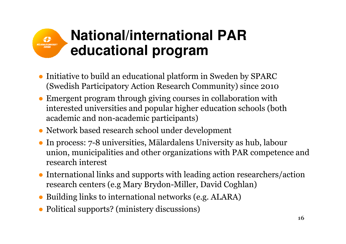#### **National/international PAR educational program**

- Initiative to build an educational platform in Sweden by SPARC<br>(Swedish Participatory Action Research Community) since 2010 (Swedish Participatory Action Research Community) since <sup>2010</sup>
- Emergent program through giving courses in collaboration with interested universities and popular higher education schools (bota interested universities and popular higher education schools (both academic and non-academic participants)
- Network based research school under development
- In process: 7-8 universities, Mälardalens University as hub, labour union, municipalities and other organizations with PAR competence and research interest
- International links and supports with leading action researchers/action<br>research centers (e.g Mary Brydon-Miller, David Coghlan) research centers (e.g Mary Brydon-Miller, David Coghlan)
- ●Building links to international networks (e.g. ALARA)
- Political supports? (ministery discussions)

MÄLARDALEN UNIVERSITY<br>SWEDEN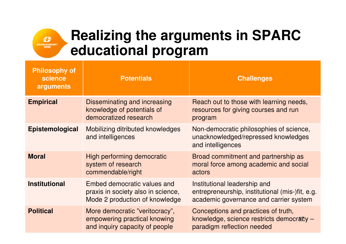

#### **Realizing the arguments in SPARC educational program**

| <b>Philosophy of</b><br>science<br>arguments | <b>Potentials</b>                                                                                   | <b>Challenges</b>                                                                                                         |
|----------------------------------------------|-----------------------------------------------------------------------------------------------------|---------------------------------------------------------------------------------------------------------------------------|
| <b>Empirical</b>                             | Disseminating and increasing<br>knowledge of potentials of<br>democratized research                 | Reach out to those with learning needs,<br>resources for giving courses and run<br>program                                |
| Epistemological                              | Mobilizing ditributed knowledges<br>and intelligences                                               | Non-democratic philosophies of science,<br>unacknowledged/repressed knowledges<br>and intelligences                       |
| <b>Moral</b>                                 | High performing democratic<br>system of research<br>commendable/right                               | Broad commitment and partnership as<br>moral force among academic and social<br>actors                                    |
| <b>Institutional</b>                         | Embed democratic values and<br>praxis in society also in science,<br>Mode 2 production of knowledge | Institutional leadership and<br>entrepreneurship, institutional (mis-)fit, e.g.<br>academic governance and carrier system |
| <b>Political</b>                             | More democratic "veritocracy",<br>empowering practical knowing<br>and inquiry capacity of people    | Conceptions and practices of truth,<br>knowledge, science restricts democracy -<br>paradigm reflection needed             |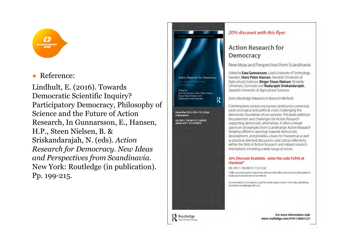

#### ●Reference:

Lindhult, E. (2016). Towards Democratic Scientific Inquiry? Participatory Democracy, Philosophy of Science and the Future of Action Research, In Gunnarsson, E., Hansen, H.P., Steen Nielsen, B. & Sriskandarajah, N. (eds). Action Research for Democracy. New Ideas and Perspectives from Scandinavia. New York: Routledge (in publication). Pp. 199-215.



#### 20% discount with this flyer

#### **Action Research for Democracy**

New Ideas and Perspectives from Scandinavia

Edited by Ewa Gunnarsson, Luleå University of Technology. Sweden, Hans Peter Hansen, Swedish University of Agricultural Sciences, Birger Steen Nielsen, Roskilde University, Denmark and Nadaralah Sriskandaralah. Swedish University of Agricultural Sciences

Series: Routledge Advances in Research Methods

Contemporary society encounters profound economical. socio-ecological and political crises challenging the democratic foundation of our societies. This book addresses the potentials and challenges for Action Research supporting democratic alternatives. It offers a broad spectrum of examples from Scandinavian Action Research showing different openings towards democratic development, and provides a basis for theoretical as well as practical oriented discussions and critical reflections. within the field of Action Research and related research orientations, involving a wide range of actors.

#### 20% Discount Available - enter the code FLR40 at checkout\*

Hb: 978-1-138-96122-7 | £72.00

\*Offer cannot be used in conjunction with any other offer or discount and only applies to books purchased directly via our website.

For more details, or to request a copy for review, please contact: Tom Eden, (Marketing Assistant), tomaden@tandico.uk

Routledge Taylor & Francis Croup :For more information visit<br>www.routledge.com/9781138961227